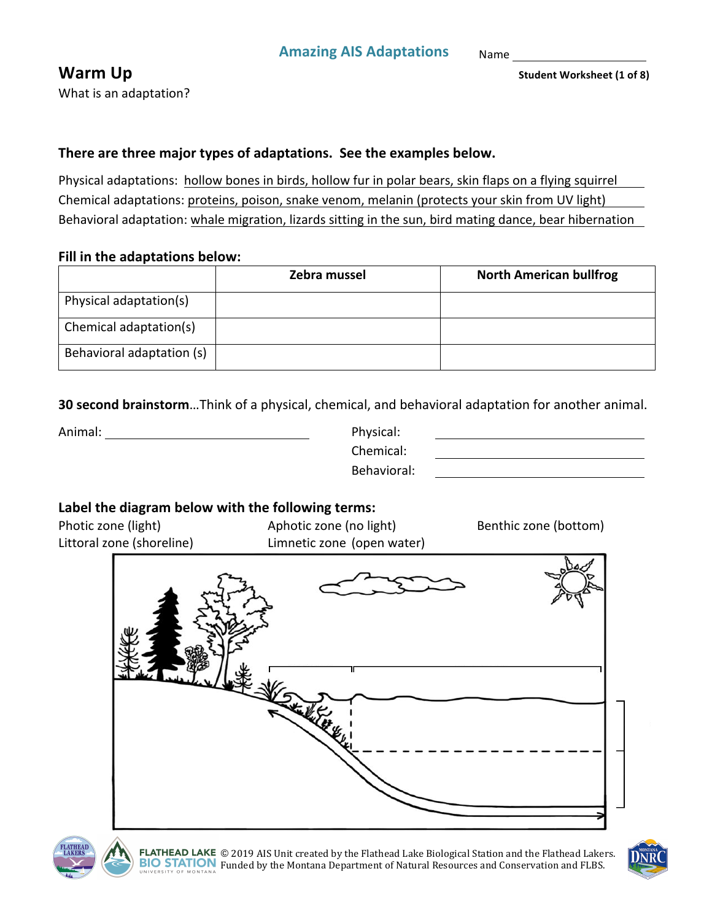Name 

What is an adaptation?

**Warm Up** Student Worksheet (1 of 8)

#### There are three major types of adaptations. See the examples below.

Physical adaptations: hollow bones in birds, hollow fur in polar bears, skin flaps on a flying squirrel Chemical adaptations: proteins, poison, snake venom, melanin (protects your skin from UV light) Behavioral adaptation: whale migration, lizards sitting in the sun, bird mating dance, bear hibernation

#### **Fill in the adaptations below:**

|                           | Zebra mussel | <b>North American bullfrog</b> |
|---------------------------|--------------|--------------------------------|
| Physical adaptation(s)    |              |                                |
| Chemical adaptation(s)    |              |                                |
| Behavioral adaptation (s) |              |                                |

**30 second brainstorm**...Think of a physical, chemical, and behavioral adaptation for another animal.

Animal: Physical: 

Chemical: Behavioral: 

## Label the diagram below with the following terms:

Littoral zone (shoreline) Limnetic zone (open water)

Photic zone (light)  $\qquad \qquad \qquad$  Aphotic zone (no light) Benthic zone (bottom)





FLATHEAD LAKE © 2019 AIS Unit created by the Flathead Lake Biological Station and the Flathead Lakers. BIO STATION Funded by the Montana Department of Natural Resources and Conservation and FLBS.

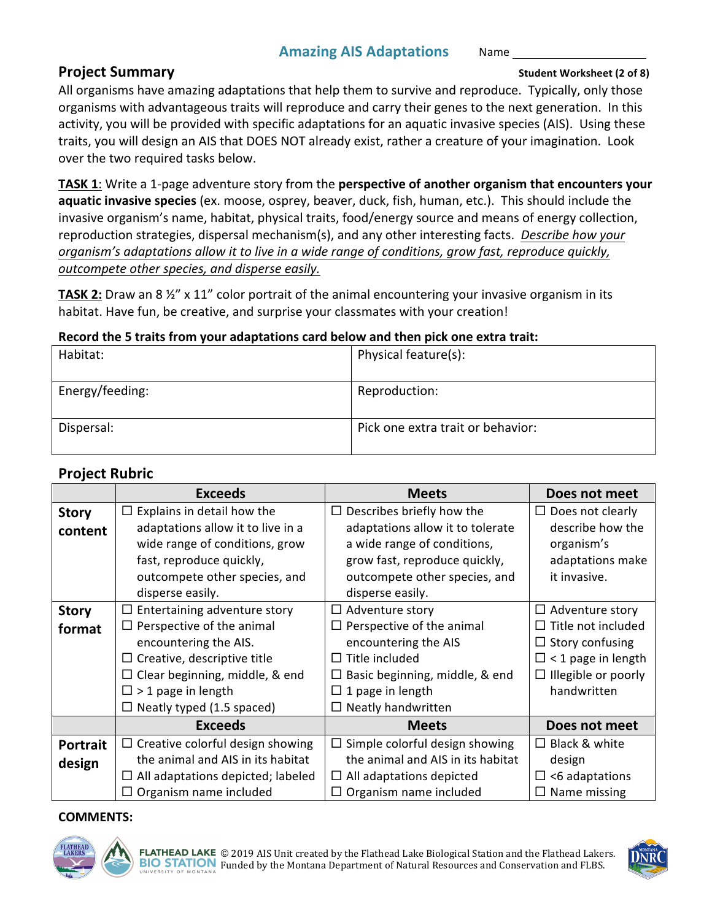#### **Project Summary Student Worksheet** (2 of 8)

All organisms have amazing adaptations that help them to survive and reproduce. Typically, only those organisms with advantageous traits will reproduce and carry their genes to the next generation. In this activity, you will be provided with specific adaptations for an aquatic invasive species (AIS). Using these traits, you will design an AIS that DOES NOT already exist, rather a creature of your imagination. Look over the two required tasks below.

**TASK 1**: Write a 1-page adventure story from the **perspective of another organism that encounters your aquatic invasive species** (ex. moose, osprey, beaver, duck, fish, human, etc.). This should include the invasive organism's name, habitat, physical traits, food/energy source and means of energy collection, reproduction strategies, dispersal mechanism(s), and any other interesting facts. *Describe how your organism's adaptations allow it to live in a wide range of conditions, grow fast, reproduce quickly, outcompete other species, and disperse easily.*

**TASK 2:** Draw an 8  $\frac{1}{2}$ " x 11" color portrait of the animal encountering your invasive organism in its habitat. Have fun, be creative, and surprise your classmates with your creation!

#### **Record the 5 traits from your adaptations card below and then pick one extra trait:**

| Habitat:        | Physical feature(s):              |
|-----------------|-----------------------------------|
| Energy/feeding: | Reproduction:                     |
| Dispersal:      | Pick one extra trait or behavior: |

## **Project Rubric**

|                 | <b>Exceeds</b>                           | <b>Meets</b>                             | Does not meet              |
|-----------------|------------------------------------------|------------------------------------------|----------------------------|
| <b>Story</b>    | Explains in detail how the<br>$\Box$     | Describes briefly how the<br>ப           | $\Box$ Does not clearly    |
| content         | adaptations allow it to live in a        | adaptations allow it to tolerate         | describe how the           |
|                 | wide range of conditions, grow           | a wide range of conditions,              | organism's                 |
|                 | fast, reproduce quickly,                 | grow fast, reproduce quickly,            | adaptations make           |
|                 | outcompete other species, and            | outcompete other species, and            | it invasive.               |
|                 | disperse easily.                         | disperse easily.                         |                            |
| <b>Story</b>    | $\Box$ Entertaining adventure story      | $\Box$ Adventure story                   | $\Box$ Adventure story     |
| format          | $\Box$ Perspective of the animal         | $\Box$ Perspective of the animal         | $\Box$ Title not included  |
|                 | encountering the AIS.                    | encountering the AIS                     | $\Box$ Story confusing     |
|                 | $\Box$ Creative, descriptive title       | Title included<br>П                      | $\Box$ < 1 page in length  |
|                 | $\Box$ Clear beginning, middle, & end    | Basic beginning, middle, & end<br>ш      | $\Box$ Illegible or poorly |
|                 | $\Box$ > 1 page in length                | 1 page in length<br>$\Box$               | handwritten                |
|                 | $\Box$ Neatly typed (1.5 spaced)         | $\Box$ Neatly handwritten                |                            |
|                 | <b>Exceeds</b>                           | <b>Meets</b>                             | Does not meet              |
| <b>Portrait</b> | $\Box$ Creative colorful design showing  | Simple colorful design showing<br>$\Box$ | $\Box$ Black & white       |
| design          | the animal and AIS in its habitat        | the animal and AIS in its habitat        | design                     |
|                 | $\Box$ All adaptations depicted; labeled | $\Box$ All adaptations depicted          | $\Box$ <6 adaptations      |
|                 | $\Box$ Organism name included            | $\Box$ Organism name included            | $\Box$ Name missing        |

#### **COMMENTS:**



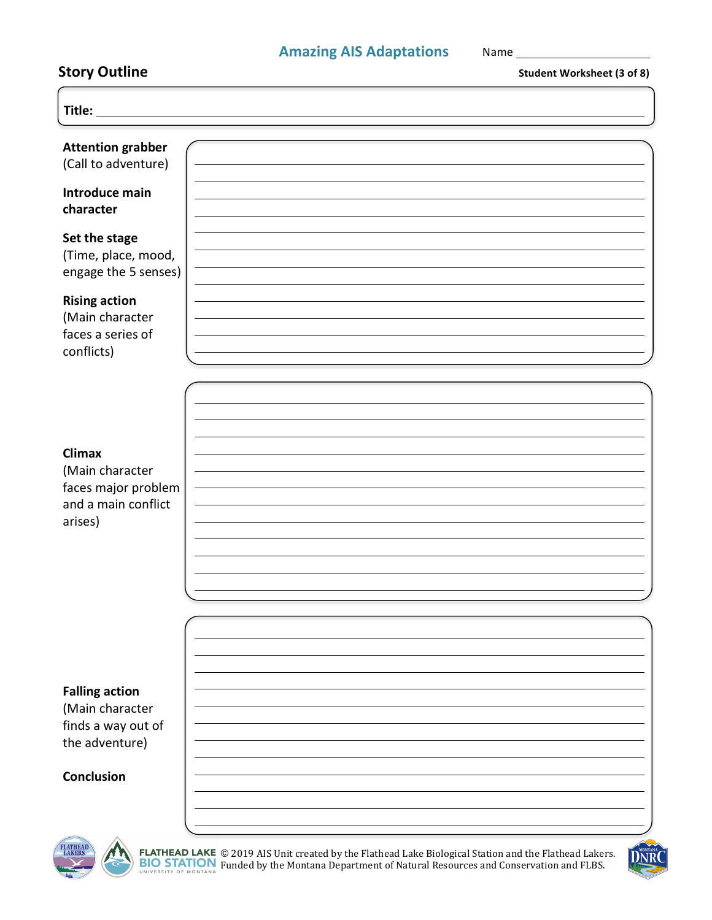## **Amazing AIS Adaptations** Name

| <b>Student Worksheet (3 of 8)</b> |
|-----------------------------------|
|                                   |
|                                   |
|                                   |
|                                   |
|                                   |
|                                   |
|                                   |
|                                   |

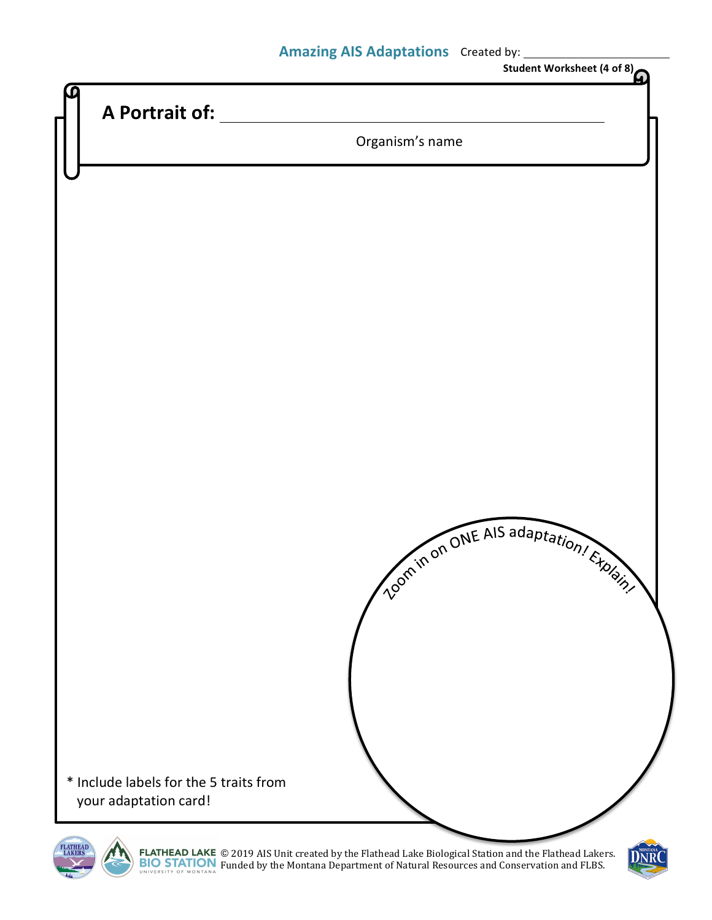## **Amazing AIS Adaptations** Created by:



© 2019 AIS Unit created by the Flathead Lake Biological Station and the Flathead Lakers. Funded by the Montana Department of Natural Resources and Conservation and FLBS.

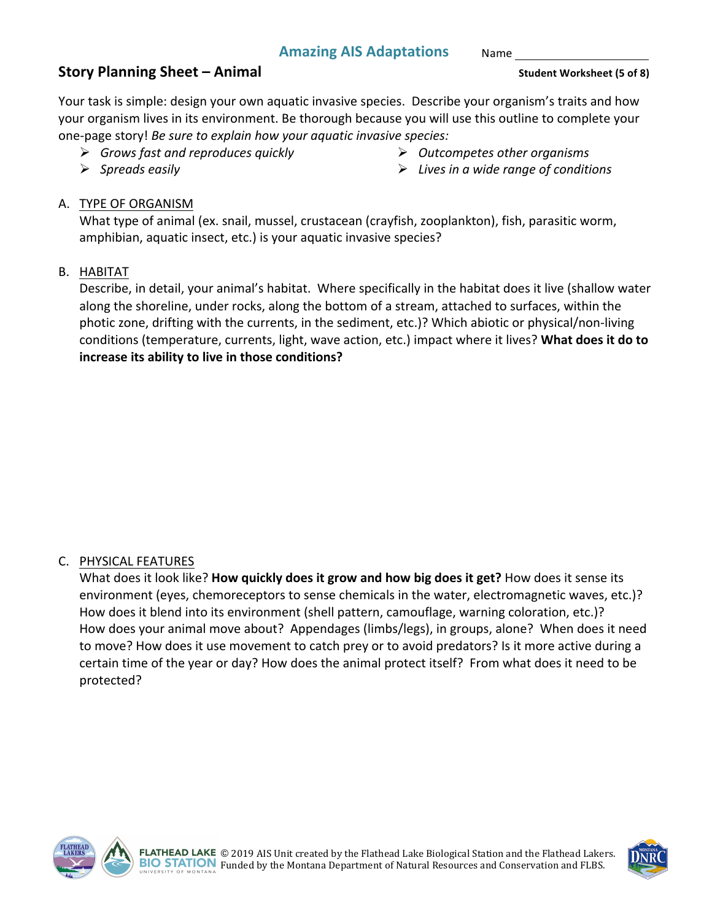Name 

#### **Story Planning Sheet – Animal Story Planning Sheet** – **Animal Student Worksheet** (5 of 8)

Your task is simple: design your own aquatic invasive species. Describe your organism's traits and how your organism lives in its environment. Be thorough because you will use this outline to complete your one-page story! *Be sure to explain how your aquatic invasive species:* 

Ø *Grows fast and reproduces quickly*

Ø *Outcompetes other organisms*

Ø *Spreads easily*

Ø *Lives in a wide range of conditions*

#### A. TYPE OF ORGANISM

What type of animal (ex. snail, mussel, crustacean (crayfish, zooplankton), fish, parasitic worm, amphibian, aquatic insect, etc.) is your aquatic invasive species?

#### B. HABITAT

Describe, in detail, your animal's habitat. Where specifically in the habitat does it live (shallow water along the shoreline, under rocks, along the bottom of a stream, attached to surfaces, within the photic zone, drifting with the currents, in the sediment, etc.)? Which abiotic or physical/non-living conditions (temperature, currents, light, wave action, etc.) impact where it lives? What does it do to **increase its ability to live in those conditions?** 

#### C. PHYSICAL FEATURES

What does it look like? **How quickly does it grow and how big does it get?** How does it sense its environment (eyes, chemoreceptors to sense chemicals in the water, electromagnetic waves, etc.)? How does it blend into its environment (shell pattern, camouflage, warning coloration, etc.)? How does your animal move about? Appendages (limbs/legs), in groups, alone? When does it need to move? How does it use movement to catch prey or to avoid predators? Is it more active during a certain time of the year or day? How does the animal protect itself? From what does it need to be protected?



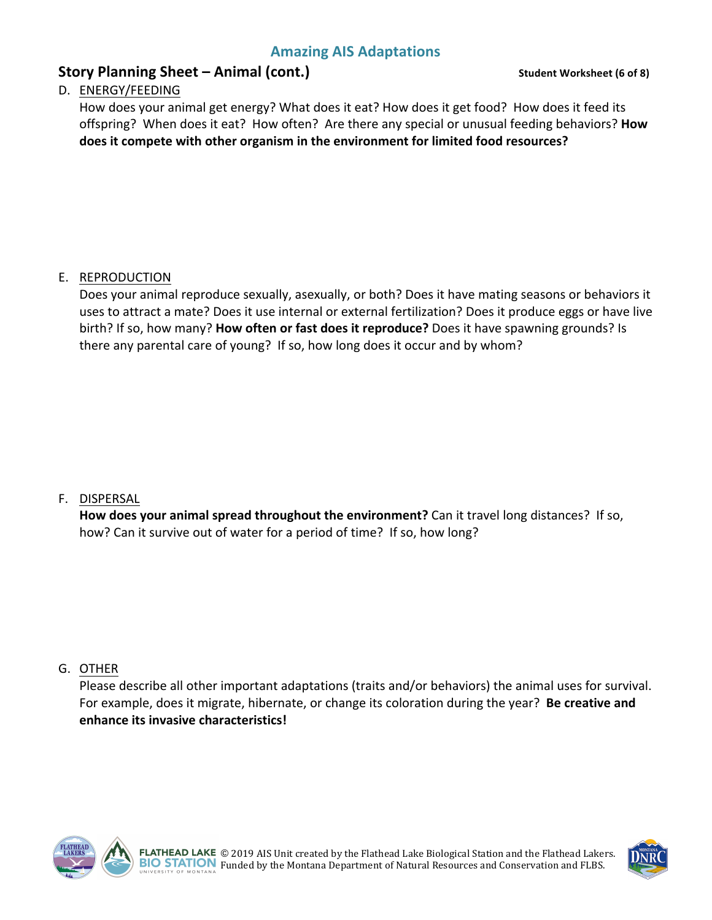## **Story Planning Sheet – Animal (cont.)** Story Planning Sheet – Animal (cont.)

#### D. ENERGY/FEEDING

How does your animal get energy? What does it eat? How does it get food? How does it feed its offspring? When does it eat? How often? Are there any special or unusual feeding behaviors? How **does it compete with other organism in the environment for limited food resources?** 

#### E. REPRODUCTION

Does your animal reproduce sexually, asexually, or both? Does it have mating seasons or behaviors it uses to attract a mate? Does it use internal or external fertilization? Does it produce eggs or have live birth? If so, how many? **How often or fast does it reproduce?** Does it have spawning grounds? Is there any parental care of young? If so, how long does it occur and by whom?

#### F. DISPERSAL

**How does your animal spread throughout the environment?** Can it travel long distances? If so, how? Can it survive out of water for a period of time? If so, how long?

#### G. OTHER

Please describe all other important adaptations (traits and/or behaviors) the animal uses for survival. For example, does it migrate, hibernate, or change its coloration during the year? Be creative and **enhance its invasive characteristics!** 



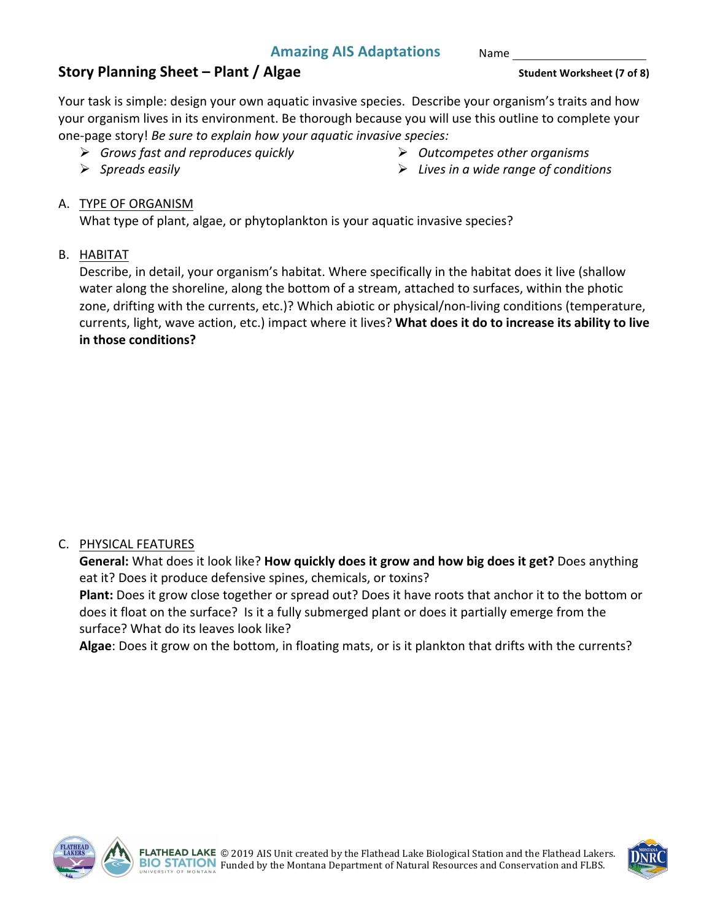Name 

## **Story Planning Sheet – Plant / Algae Story Planning Sheet** – **Plant / Algae Student Worksheet** (7 of 8)

Your task is simple: design your own aquatic invasive species. Describe your organism's traits and how your organism lives in its environment. Be thorough because you will use this outline to complete your one-page story! *Be sure to explain how your aquatic invasive species:* 

- Ø *Grows fast and reproduces quickly*
- Ø *Spreads easily*
- Ø *Outcompetes other organisms*
- Ø *Lives in a wide range of conditions*

## A. TYPE OF ORGANISM

What type of plant, algae, or phytoplankton is your aquatic invasive species?

#### B. HABITAT

Describe, in detail, your organism's habitat. Where specifically in the habitat does it live (shallow water along the shoreline, along the bottom of a stream, attached to surfaces, within the photic zone, drifting with the currents, etc.)? Which abiotic or physical/non-living conditions (temperature, currents, light, wave action, etc.) impact where it lives? What does it do to increase its ability to live **in those conditions?** 

#### C. PHYSICAL FEATURES

General: What does it look like? How quickly does it grow and how big does it get? Does anything eat it? Does it produce defensive spines, chemicals, or toxins?

**Plant:** Does it grow close together or spread out? Does it have roots that anchor it to the bottom or does it float on the surface? Is it a fully submerged plant or does it partially emerge from the surface? What do its leaves look like?

Algae: Does it grow on the bottom, in floating mats, or is it plankton that drifts with the currents?